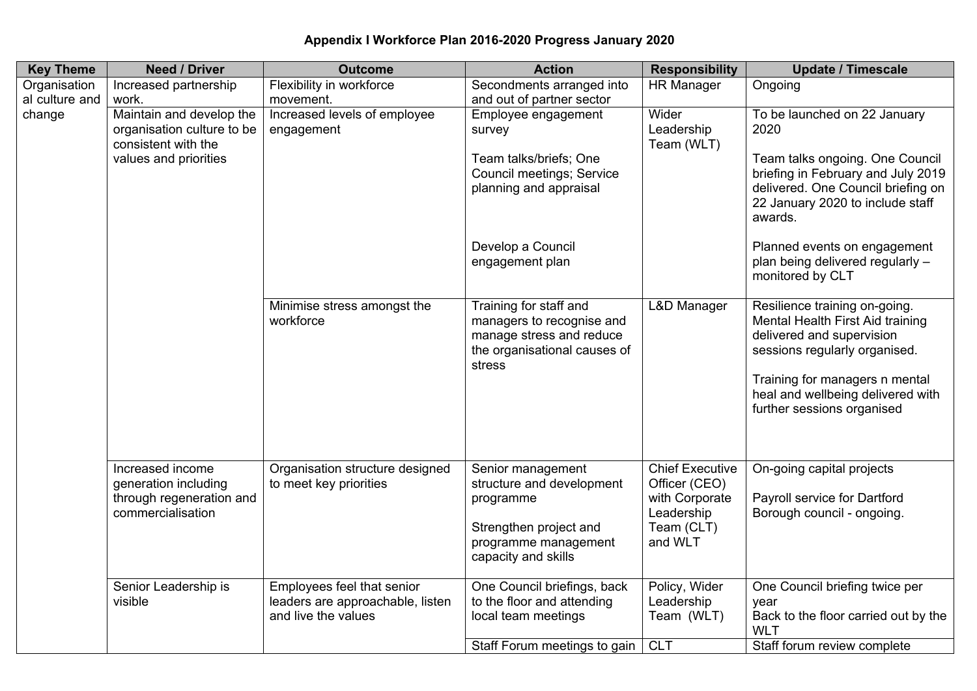## **Appendix I Workforce Plan 2016-2020 Progress January 2020**

| <b>Key Theme</b> | <b>Need / Driver</b>                                                                                   | <b>Outcome</b>                                                                        | <b>Action</b>                                                                                                                        | <b>Responsibility</b>                                                                            | <b>Update / Timescale</b>                                                                                                                                                                                                            |
|------------------|--------------------------------------------------------------------------------------------------------|---------------------------------------------------------------------------------------|--------------------------------------------------------------------------------------------------------------------------------------|--------------------------------------------------------------------------------------------------|--------------------------------------------------------------------------------------------------------------------------------------------------------------------------------------------------------------------------------------|
| Organisation     | Increased partnership                                                                                  | Flexibility in workforce                                                              | Secondments arranged into                                                                                                            | <b>HR Manager</b>                                                                                | Ongoing                                                                                                                                                                                                                              |
| al culture and   | work.                                                                                                  | movement.                                                                             | and out of partner sector                                                                                                            |                                                                                                  |                                                                                                                                                                                                                                      |
| change           | Maintain and develop the<br>organisation culture to be<br>consistent with the<br>values and priorities | Increased levels of employee<br>engagement                                            | Employee engagement<br>survey                                                                                                        | Wider<br>Leadership<br>Team (WLT)                                                                | To be launched on 22 January<br>2020                                                                                                                                                                                                 |
|                  |                                                                                                        |                                                                                       | Team talks/briefs; One<br>Council meetings; Service<br>planning and appraisal                                                        |                                                                                                  | Team talks ongoing. One Council<br>briefing in February and July 2019<br>delivered. One Council briefing on<br>22 January 2020 to include staff<br>awards.                                                                           |
|                  |                                                                                                        |                                                                                       | Develop a Council<br>engagement plan                                                                                                 |                                                                                                  | Planned events on engagement<br>plan being delivered regularly -<br>monitored by CLT                                                                                                                                                 |
|                  |                                                                                                        | Minimise stress amongst the<br>workforce                                              | Training for staff and<br>managers to recognise and<br>manage stress and reduce<br>the organisational causes of<br>stress            | <b>L&amp;D Manager</b>                                                                           | Resilience training on-going.<br>Mental Health First Aid training<br>delivered and supervision<br>sessions regularly organised.<br>Training for managers n mental<br>heal and wellbeing delivered with<br>further sessions organised |
|                  | Increased income<br>generation including<br>through regeneration and<br>commercialisation              | Organisation structure designed<br>to meet key priorities                             | Senior management<br>structure and development<br>programme<br>Strengthen project and<br>programme management<br>capacity and skills | <b>Chief Executive</b><br>Officer (CEO)<br>with Corporate<br>Leadership<br>Team (CLT)<br>and WLT | On-going capital projects<br>Payroll service for Dartford<br>Borough council - ongoing.                                                                                                                                              |
|                  | Senior Leadership is<br>visible                                                                        | Employees feel that senior<br>leaders are approachable, listen<br>and live the values | One Council briefings, back<br>to the floor and attending<br>local team meetings                                                     | Policy, Wider<br>Leadership<br>Team (WLT)                                                        | One Council briefing twice per<br>year<br>Back to the floor carried out by the<br><b>WLT</b>                                                                                                                                         |
|                  |                                                                                                        |                                                                                       | Staff Forum meetings to gain                                                                                                         | <b>CLT</b>                                                                                       | Staff forum review complete                                                                                                                                                                                                          |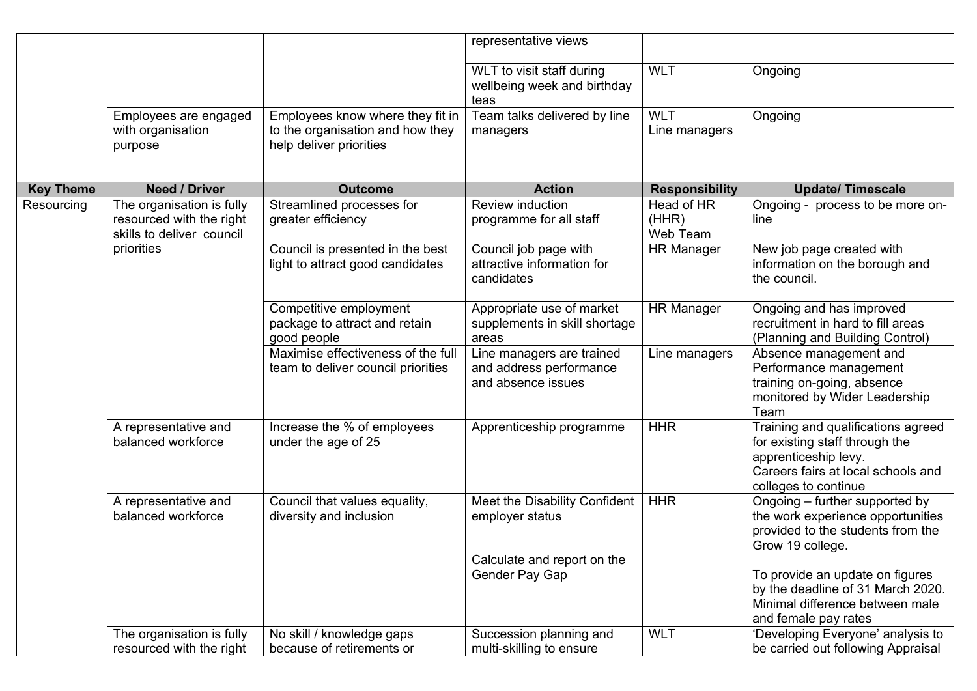|                  |                                                                                                  |                                                                                                 | representative views                                                            |                                 |                                                                                                                                                            |
|------------------|--------------------------------------------------------------------------------------------------|-------------------------------------------------------------------------------------------------|---------------------------------------------------------------------------------|---------------------------------|------------------------------------------------------------------------------------------------------------------------------------------------------------|
|                  |                                                                                                  |                                                                                                 | WLT to visit staff during<br>wellbeing week and birthday<br>teas                | <b>WLT</b>                      | Ongoing                                                                                                                                                    |
|                  | Employees are engaged<br>with organisation<br>purpose                                            | Employees know where they fit in<br>to the organisation and how they<br>help deliver priorities | Team talks delivered by line<br>managers                                        | <b>WLT</b><br>Line managers     | Ongoing                                                                                                                                                    |
| <b>Key Theme</b> | <b>Need / Driver</b>                                                                             | <b>Outcome</b>                                                                                  | <b>Action</b>                                                                   | <b>Responsibility</b>           | <b>Update/ Timescale</b>                                                                                                                                   |
| Resourcing       | The organisation is fully<br>resourced with the right<br>skills to deliver council<br>priorities | Streamlined processes for<br>greater efficiency                                                 | Review induction<br>programme for all staff                                     | Head of HR<br>(HHR)<br>Web Team | Ongoing - process to be more on-<br>line                                                                                                                   |
|                  |                                                                                                  | Council is presented in the best<br>light to attract good candidates                            | Council job page with<br>attractive information for<br>candidates               | <b>HR Manager</b>               | New job page created with<br>information on the borough and<br>the council.                                                                                |
|                  |                                                                                                  | Competitive employment<br>package to attract and retain<br>good people                          | Appropriate use of market<br>supplements in skill shortage<br>areas             | <b>HR Manager</b>               | Ongoing and has improved<br>recruitment in hard to fill areas<br>(Planning and Building Control)                                                           |
|                  |                                                                                                  | Maximise effectiveness of the full<br>team to deliver council priorities                        | Line managers are trained<br>and address performance<br>and absence issues      | Line managers                   | Absence management and<br>Performance management<br>training on-going, absence<br>monitored by Wider Leadership<br>Team                                    |
|                  | A representative and<br>balanced workforce                                                       | Increase the % of employees<br>under the age of 25                                              | Apprenticeship programme                                                        | <b>HHR</b>                      | Training and qualifications agreed<br>for existing staff through the<br>apprenticeship levy.<br>Careers fairs at local schools and<br>colleges to continue |
|                  | A representative and<br>balanced workforce                                                       | Council that values equality,<br>diversity and inclusion                                        | Meet the Disability Confident<br>employer status<br>Calculate and report on the | <b>HHR</b>                      | Ongoing – further supported by<br>the work experience opportunities<br>provided to the students from the<br>Grow 19 college.                               |
|                  |                                                                                                  |                                                                                                 | Gender Pay Gap                                                                  |                                 | To provide an update on figures<br>by the deadline of 31 March 2020.<br>Minimal difference between male<br>and female pay rates                            |
|                  | The organisation is fully<br>resourced with the right                                            | No skill / knowledge gaps<br>because of retirements or                                          | Succession planning and<br>multi-skilling to ensure                             | <b>WLT</b>                      | 'Developing Everyone' analysis to<br>be carried out following Appraisal                                                                                    |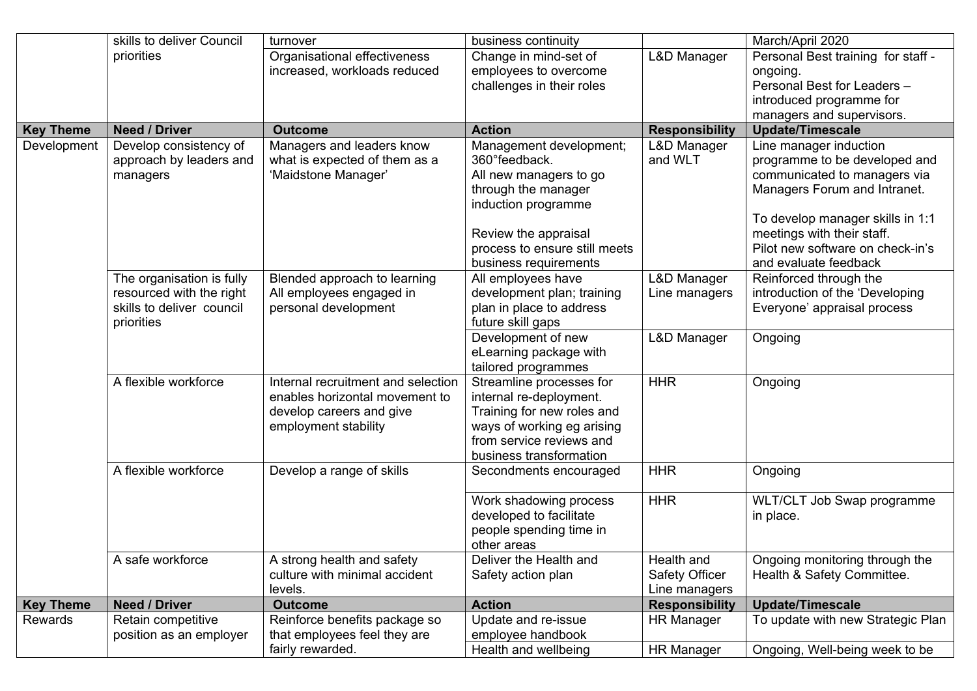|                  | skills to deliver Council                                                                        | turnover                                                                                                                 | business continuity                                                                                                                                                        |                                               | March/April 2020                                                                                                                                                                                                                                       |
|------------------|--------------------------------------------------------------------------------------------------|--------------------------------------------------------------------------------------------------------------------------|----------------------------------------------------------------------------------------------------------------------------------------------------------------------------|-----------------------------------------------|--------------------------------------------------------------------------------------------------------------------------------------------------------------------------------------------------------------------------------------------------------|
|                  | priorities                                                                                       | Organisational effectiveness<br>increased, workloads reduced                                                             | Change in mind-set of<br>employees to overcome<br>challenges in their roles                                                                                                | <b>L&amp;D Manager</b>                        | Personal Best training for staff -<br>ongoing.<br>Personal Best for Leaders -<br>introduced programme for<br>managers and supervisors.                                                                                                                 |
| <b>Key Theme</b> | <b>Need / Driver</b>                                                                             | <b>Outcome</b>                                                                                                           | <b>Action</b>                                                                                                                                                              | <b>Responsibility</b>                         | <b>Update/Timescale</b>                                                                                                                                                                                                                                |
| Development      | Develop consistency of<br>approach by leaders and<br>managers                                    | Managers and leaders know<br>what is expected of them as a<br>'Maidstone Manager'                                        | Management development;<br>360° feedback.<br>All new managers to go<br>through the manager<br>induction programme<br>Review the appraisal<br>process to ensure still meets | L&D Manager<br>and WLT                        | Line manager induction<br>programme to be developed and<br>communicated to managers via<br>Managers Forum and Intranet.<br>To develop manager skills in 1:1<br>meetings with their staff.<br>Pilot new software on check-in's<br>and evaluate feedback |
|                  |                                                                                                  |                                                                                                                          | business requirements                                                                                                                                                      |                                               |                                                                                                                                                                                                                                                        |
|                  | The organisation is fully<br>resourced with the right<br>skills to deliver council<br>priorities | Blended approach to learning<br>All employees engaged in<br>personal development                                         | All employees have<br>development plan; training<br>plan in place to address<br>future skill gaps                                                                          | L&D Manager<br>Line managers                  | Reinforced through the<br>introduction of the 'Developing<br>Everyone' appraisal process                                                                                                                                                               |
|                  |                                                                                                  |                                                                                                                          | Development of new<br>eLearning package with<br>tailored programmes                                                                                                        | L&D Manager                                   | Ongoing                                                                                                                                                                                                                                                |
|                  | A flexible workforce                                                                             | Internal recruitment and selection<br>enables horizontal movement to<br>develop careers and give<br>employment stability | Streamline processes for<br>internal re-deployment.<br>Training for new roles and<br>ways of working eg arising<br>from service reviews and<br>business transformation     | <b>HHR</b>                                    | Ongoing                                                                                                                                                                                                                                                |
|                  | A flexible workforce                                                                             | Develop a range of skills                                                                                                | Secondments encouraged                                                                                                                                                     | <b>HHR</b>                                    | Ongoing                                                                                                                                                                                                                                                |
|                  |                                                                                                  |                                                                                                                          | Work shadowing process<br>developed to facilitate<br>people spending time in<br>other areas                                                                                | <b>HHR</b>                                    | WLT/CLT Job Swap programme<br>in place.                                                                                                                                                                                                                |
|                  | A safe workforce                                                                                 | A strong health and safety<br>culture with minimal accident<br>levels.                                                   | Deliver the Health and<br>Safety action plan                                                                                                                               | Health and<br>Safety Officer<br>Line managers | Ongoing monitoring through the<br>Health & Safety Committee.                                                                                                                                                                                           |
| <b>Key Theme</b> | <b>Need / Driver</b>                                                                             | <b>Outcome</b>                                                                                                           | <b>Action</b>                                                                                                                                                              | <b>Responsibility</b>                         | <b>Update/Timescale</b>                                                                                                                                                                                                                                |
| Rewards          | Retain competitive<br>position as an employer                                                    | Reinforce benefits package so<br>that employees feel they are                                                            | Update and re-issue<br>employee handbook                                                                                                                                   | <b>HR Manager</b>                             | To update with new Strategic Plan                                                                                                                                                                                                                      |
|                  |                                                                                                  | fairly rewarded.                                                                                                         | Health and wellbeing                                                                                                                                                       | <b>HR Manager</b>                             | Ongoing, Well-being week to be                                                                                                                                                                                                                         |